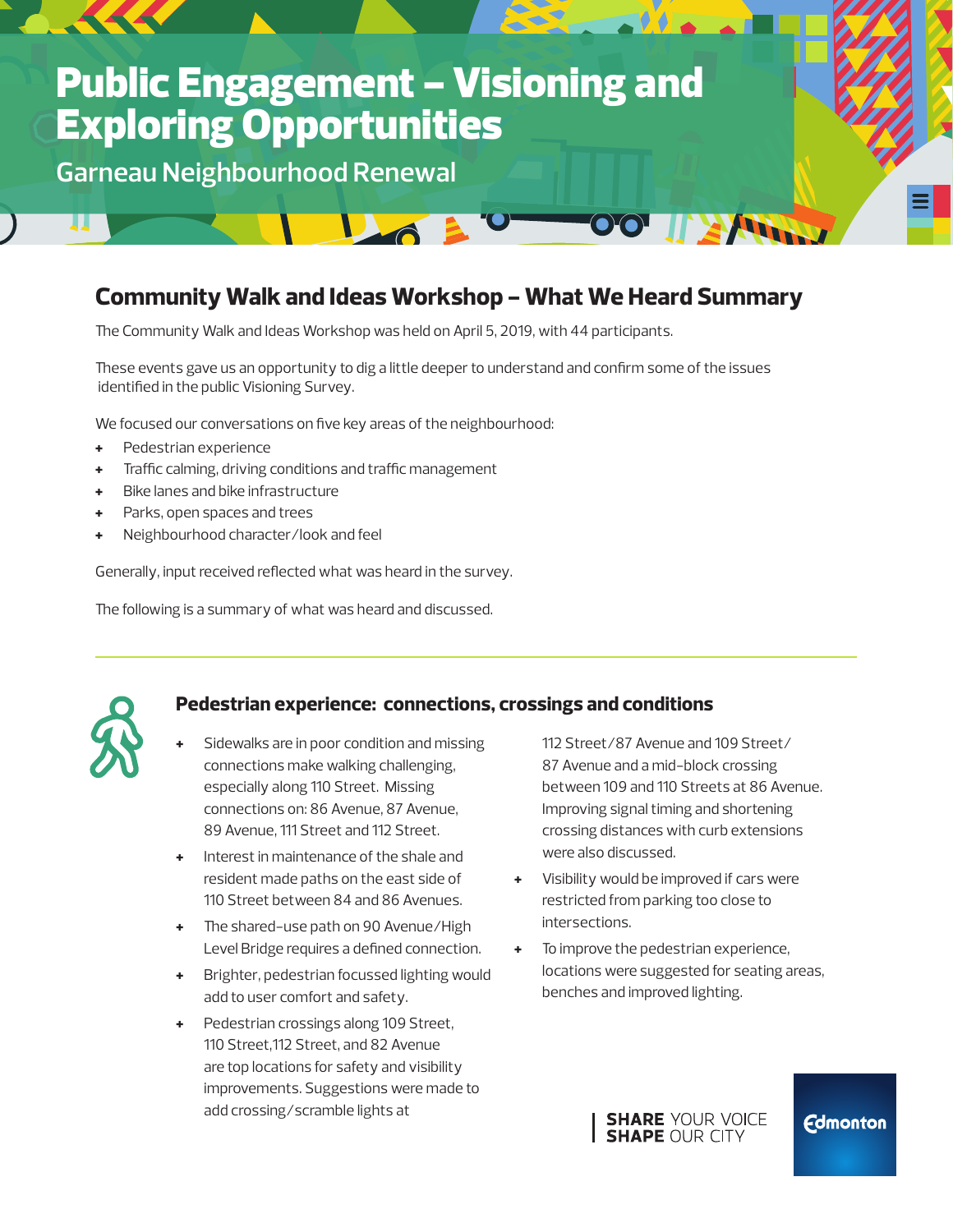# **Public Engagement - Visioning and** Exploring Opportunities

**Garneau Neighbourhood Renewal**

### **Community Walk and Ideas Workshop - What We Heard Summary**

The Community Walk and Ideas Workshop was held on April 5, 2019, with 44 participants.

**UMB** 

These events gave us an opportunity to dig a little deeper to understand and confirm some of the issues identified in the public Visioning Survey.

We focused our conversations on five key areas of the neighbourhood:

- **+** Pedestrian experience
- **+** Traffic calming, driving conditions and traffic management
- **+** Bike lanes and bike infrastructure
- **+** Parks, open spaces and trees
- **+** Neighbourhood character/look and feel

Generally, input received reflected what was heard in the survey.

The following is a summary of what was heard and discussed.



#### **Pedestrian experience: connections, crossings and conditions**

- **+** Sidewalks are in poor condition and missing connections make walking challenging, especially along 110 Street. Missing connections on: 86 Avenue, 87 Avenue, 89 Avenue, 111 Street and 112 Street.
- **+** Interest in maintenance of the shale and resident made paths on the east side of 110 Street between 84 and 86 Avenues.
- **+** The shared-use path on 90 Avenue/High Level Bridge requires a defined connection.
- **+** Brighter, pedestrian focussed lighting would add to user comfort and safety.
- **+** Pedestrian crossings along 109 Street, 110 Street,112 Street, and 82 Avenue are top locations for safety and visibility improvements. Suggestions were made to add crossing/scramble lights at

112 Street/87 Avenue and 109 Street/ 87 Avenue and a mid-block crossing between 109 and 110 Streets at 86 Avenue. Improving signal timing and shortening crossing distances with curb extensions were also discussed.

**AND** 

 $\bullet$   $\bullet$  .

- **+** Visibility would be improved if cars were restricted from parking too close to intersections.
- **+** To improve the pedestrian experience, locations were suggested for seating areas, benches and improved lighting.



#### **Edmonton**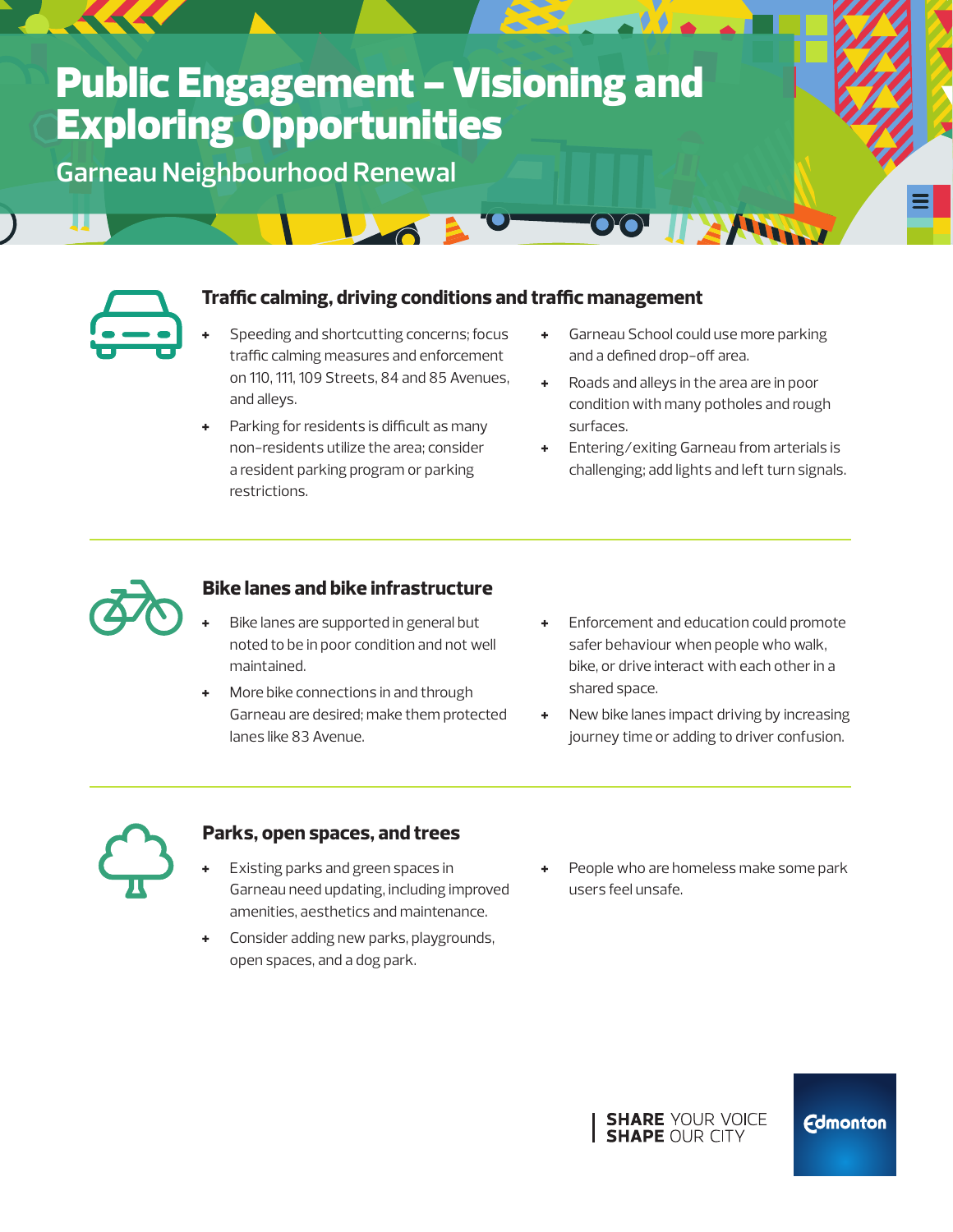# **Public Engagement - Visioning and** Exploring Opportunities

 $\sum_{\alpha}$ 

**Garneau Neighbourhood Renewal**



#### **Traffic calming, driving conditions and traffic management**

- **+** Speeding and shortcutting concerns; focus traffic calming measures and enforcement on 110, 111, 109 Streets, 84 and 85 Avenues, and alleys.
- Parking for residents is difficult as many non-residents utilize the area; consider a resident parking program or parking restrictions.
- **+** Garneau School could use more parking and a defined drop-off area.

**AND** 

- **+** Roads and alleys in the area are in poor condition with many potholes and rough surfaces.
- **+** Entering/exiting Garneau from arterials is challenging; add lights and left turn signals.



#### **Bike lanes and bike infrastructure**

- **+** Bike lanes are supported in general but noted to be in poor condition and not well maintained.
- **+** More bike connections in and through Garneau are desired; make them protected lanes like 83 Avenue.
- **+** Enforcement and education could promote safer behaviour when people who walk, bike, or drive interact with each other in a shared space.
- **+** New bike lanes impact driving by increasing journey time or adding to driver confusion.



#### **Parks, open spaces, and trees**

- **+** Existing parks and green spaces in Garneau need updating, including improved amenities, aesthetics and maintenance.
- **+** Consider adding new parks, playgrounds, open spaces, and a dog park.
- **+** People who are homeless make some park users feel unsafe.



**Edmonton**